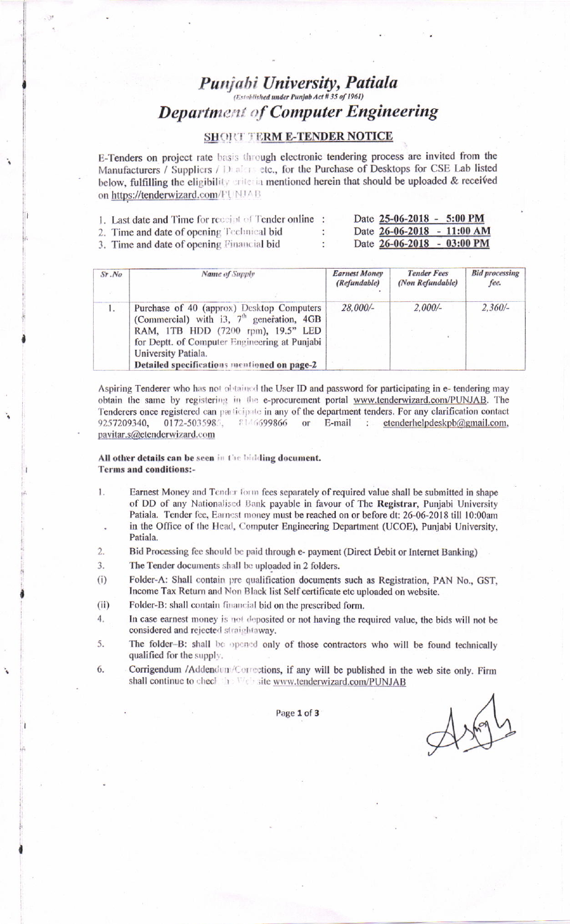# **Punjabi University, Patiala Department of Computer Engineering**

## **SHORT TERM E-TENDER NOTICE**

E-Tenders on project rate basis through electronic tendering process are invited from the Manufacturers / Suppliers / Dealers etc., for the Purchase of Desktops for CSE Lab listed below, fulfilling the eligibility criteria mentioned herein that should be uploaded & received on https://tenderwizard.com/FUNJAB

| 1. Last date and Time for receipt of Tender online : |        | Date 25-06-2018 - 5:00 PM  |  |
|------------------------------------------------------|--------|----------------------------|--|
| 2. Time and date of opening Technical bid            | $\sim$ | Date 26-06-2018 - 11:00 AM |  |
| 3. Time and date of opening Financial bid            |        | Date 26-06-2018 - 03:00 PM |  |

| $Sr$ . No | Name of Supply                                                                                                                                                                                                                                        | <b>Earnest Money</b><br>(Refundable) | <b>Tender Fees</b><br>(Non Refundable) | <b>Bid processing</b><br>fee. |
|-----------|-------------------------------------------------------------------------------------------------------------------------------------------------------------------------------------------------------------------------------------------------------|--------------------------------------|----------------------------------------|-------------------------------|
| 1.        | Purchase of 40 (approx) Desktop Computers<br>(Commercial) with i3, $7th$ generation, 4GB<br>RAM, 1TB HDD (7200 rpm), 19.5" LED<br>for Deptt. of Computer Engineering at Punjabi<br>University Patiala.<br>Detailed specifications mentioned on page-2 | 28,000/-                             | $2,000/-$                              | $2,360/-$                     |

Aspiring Tenderer who has not obtained the User ID and password for participating in e- tendering may obtain the same by registering in the e-procurement portal www.tenderwizard.com/PUNJAB. The Tenderers once registered can participate in any of the department tenders. For any clarification contact 9257209340, 0172-5035985. 8146699866 or E-mail : etenderhelpdeskpb $@g$ mail.com, pavitar.s@etenderwizard.com

#### All other details can be seen in the bidding document. **Terms and conditions:-**

- 1. Earnest Money and Tender form fees separately of required value shall be submitted in shape of DD of any Nationalised Bank payable in favour of The Registrar, Punjabi University Patiala. Tender fee, Earnest money must be reached on or before dt: 26-06-2018 till 10:00am in the Office of the Head, Computer Engineering Department (UCOE), Punjabi University, Patiala.
- $2.$ Bid Processing fee should be paid through e- payment (Direct Debit or Internet Banking)

 $\overline{3}$ . The Tender documents shall be uploaded in 2 folders.

Folder-A: Shall contain pre qualification documents such as Registration, PAN No., GST,  $(i)$ Income Tax Return and Non Black list Self certificate etc uploaded on website.

Folder-B: shall contain financial bid on the prescribed form.  $(ii)$ 

 $4.$ In case earnest money is not deposited or not having the required value, the bids will not be considered and rejected straightaway.

The folder-B: shall be opened only of those contractors who will be found technically 5. qualified for the supply.

Corrigendum /Addendum/Corrections, if any will be published in the web site only. Firm 6. shall continue to check the Web site www.tenderwizard.com/PUNJAB

Page 1 of 3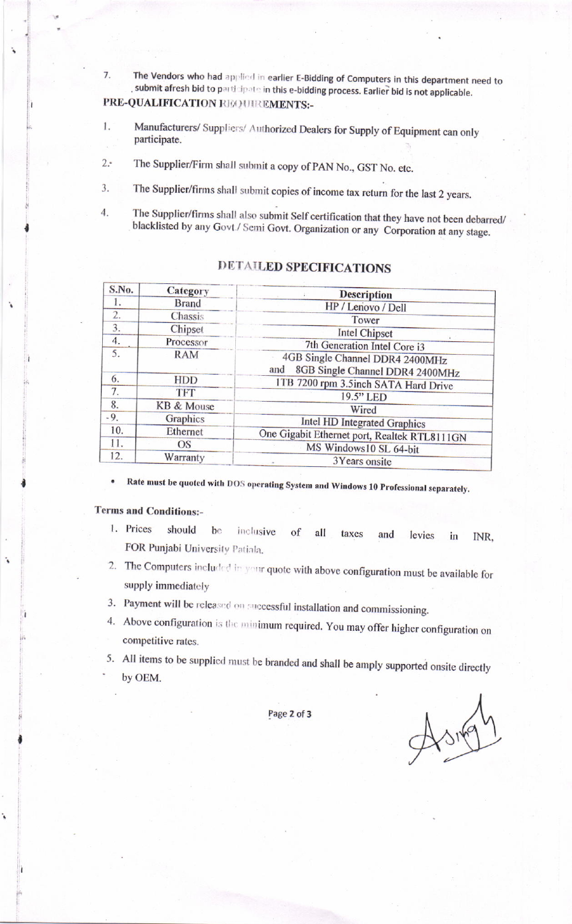The Vendors who had applied in earlier E-Bidding of Computers in this department need to  $\overline{7}$ . submit afresh bid to participate in this e-bidding process. Earlier bid is not applicable. PRE-QUALIFICATION REQUIREMENTS:-

- Manufacturers/ Suppliers/ Authorized Dealers for Supply of Equipment can only 1. participate.
- The Supplier/Firm shall submit a copy of PAN No., GST No. etc.  $2.4$
- The Supplier/firms shall submit copies of income tax return for the last 2 years. 3.
- The Supplier/firms shall also submit Self certification that they have not been debarred/  $4.$ blacklisted by any Govt./ Semi Govt. Organization or any Corporation at any stage.

| S.No. | Category     | <b>Description</b><br>HP / Lenovo / Dell                                                                                                                                                                                                                                                                           |  |  |
|-------|--------------|--------------------------------------------------------------------------------------------------------------------------------------------------------------------------------------------------------------------------------------------------------------------------------------------------------------------|--|--|
| 1.    | <b>Brand</b> |                                                                                                                                                                                                                                                                                                                    |  |  |
| 2.    | Chassis      | Tower<br><b>Intel Chipset</b><br>7th Generation Intel Core i3<br>4GB Single Channel DDR4 2400MHz<br>8GB Single Channel DDR4 2400MHz<br>and<br>1TB 7200 rpm 3.5inch SATA Hard Drive<br>19.5" LED<br>Wired<br>Intel HD Integrated Graphics<br>One Gigabit Ethernet port, Realtek RTL8111GN<br>MS Windows10 SL 64-bit |  |  |
| 3.    | Chipset      |                                                                                                                                                                                                                                                                                                                    |  |  |
| 4.    | Processor    |                                                                                                                                                                                                                                                                                                                    |  |  |
| 5.    | <b>RAM</b>   |                                                                                                                                                                                                                                                                                                                    |  |  |
| 6.    | <b>HDD</b>   |                                                                                                                                                                                                                                                                                                                    |  |  |
| 7.    | <b>TFT</b>   |                                                                                                                                                                                                                                                                                                                    |  |  |
| 8.    | KB & Mouse   |                                                                                                                                                                                                                                                                                                                    |  |  |
| $-9.$ | Graphics     |                                                                                                                                                                                                                                                                                                                    |  |  |
| 10.   | Ethernet     |                                                                                                                                                                                                                                                                                                                    |  |  |
| 11.   | <b>OS</b>    |                                                                                                                                                                                                                                                                                                                    |  |  |
| 12.   | Warranty     | 3Years onsite                                                                                                                                                                                                                                                                                                      |  |  |

## DETAILED SPECIFICATIONS

Rate must be quoted with DOS operating System and Windows 10 Professional separately.

### **Terms and Conditions:-**

- 1. Prices should  $bc$ inclusive of all taxes and levies in INR. FOR Punjabi University Patiala.
- 2. The Computers included in your quote with above configuration must be available for supply immediately
- 3. Payment will be released on successful installation and commissioning.
- 4. Above configuration is the minimum required. You may offer higher configuration on competitive rates.
- 5. All items to be supplied must be branded and shall be amply supported onsite directly by OEM.

Page 2 of 3